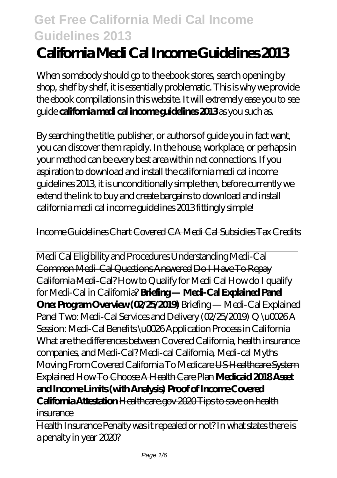# **California Medi Cal Income Guidelines 2013**

When somebody should go to the ebook stores, search opening by shop, shelf by shelf, it is essentially problematic. This is why we provide the ebook compilations in this website. It will extremely ease you to see guide **california medi cal income guidelines 2013** as you such as.

By searching the title, publisher, or authors of guide you in fact want, you can discover them rapidly. In the house, workplace, or perhaps in your method can be every best area within net connections. If you aspiration to download and install the california medi cal income guidelines 2013, it is unconditionally simple then, before currently we extend the link to buy and create bargains to download and install california medi cal income guidelines 2013 fittingly simple!

#### Income Guidelines Chart Covered CA Medi Cal Subsidies Tax Credits

Medi Cal Eligibility and Procedures Understanding Medi-Cal Common Medi-Cal Questions Answered Do I Have To Repay California Medi-Cal? *How to Qualify for Medi Cal How do I qualify for Medi-Cal in California?* **Briefing — Medi-Cal Explained Panel One: Program Overview (02/25/2019)** *Briefing — Medi-Cal Explained Panel Two: Medi-Cal Services and Delivery (02/25/2019)* Q \u0026 A Session: Medi-Cal Benefits \u0026 Application Process in California What are the differences between Covered California, health insurance companies, and Medi-Cal? Medi-cal California, Medi-cal Myths *Moving From Covered California To Medicare* US Healthcare System Explained How To Choose A Health Care Plan **Medicaid 2018 Asset and Income Limits (with Analysis) Proof of Income Covered California Attestation** Healthcare.gov 2020 Tips to save on health insurance

Health Insurance Penalty was it repealed or not? In what states there is a penalty in year 2020?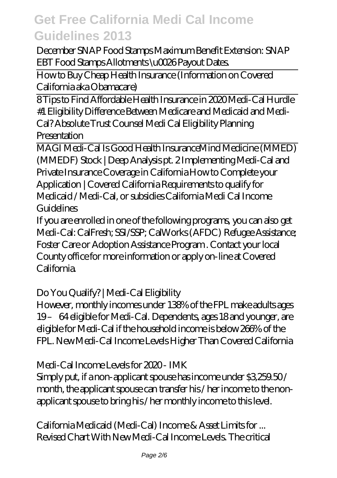December SNAP Food Stamps Maximum Benefit Extension: SNAP EBT Food Stamps Allotments \u0026 Payout Dates.

How to Buy Cheap Health Insurance (Information on Covered California aka Obamacare)

8 Tips to Find Affordable Health Insurance in 2020 Medi-Cal Hurdle #1 Eligibility *Difference Between Medicare and Medicaid and Medi-Cal? Absolute Trust Counsel Medi Cal Eligibility Planning Presentation*

MAGI Medi-Cal Is Good Health Insurance*Mind Medicine (MMED) (MMEDF) Stock | Deep Analysis pt. 2 Implementing Medi-Cal and Private Insurance Coverage in California* How to Complete your Application | Covered California Requirements to qualify for Medicaid / Medi-Cal, or subsidies *California Medi Cal Income Guidelines*

If you are enrolled in one of the following programs, you can also get Medi-Cal: CalFresh; SSI/SSP; CalWorks (AFDC) Refugee Assistance; Foster Care or Adoption Assistance Program . Contact your local County office for more information or apply on-line at Covered California.

### *Do You Qualify? | Medi-Cal Eligibility*

However, monthly incomes under 138% of the FPL make adults ages 19 – 64 eligible for Medi-Cal. Dependents, ages 18 and younger, are eligible for Medi-Cal if the household income is below 266% of the FPL. New Medi-Cal Income Levels Higher Than Covered California

### *Medi-Cal Income Levels for 2020 - IMK*

Simply put, if a non-applicant spouse has income under \$3,259.50 / month, the applicant spouse can transfer his / her income to the nonapplicant spouse to bring his / her monthly income to this level.

*California Medicaid (Medi-Cal) Income & Asset Limits for ...* Revised Chart With New Medi-Cal Income Levels. The critical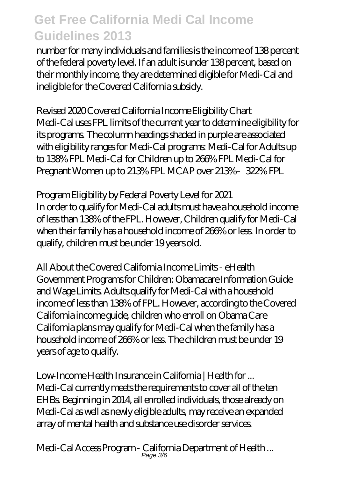number for many individuals and families is the income of 138 percent of the federal poverty level. If an adult is under 138 percent, based on their monthly income, they are determined eligible for Medi-Cal and ineligible for the Covered California subsidy.

## *Revised 2020 Covered California Income Eligibility Chart*

Medi-Cal uses FPL limits of the current year to determine eligibility for its programs. The column headings shaded in purple are associated with eligibility ranges for Medi-Cal programs: Medi-Cal for Adults up to 138% FPL Medi-Cal for Children up to 266% FPL Medi-Cal for Pregnant Women up to 213% FPL MCAP over 213%–322% FPL

### *Program Eligibility by Federal Poverty Level for 2021*

In order to qualify for Medi-Cal adults must have a household income of less than 138% of the FPL. However, Children qualify for Medi-Cal when their family has a household income of 266% or less. In order to qualify, children must be under 19 years old.

#### *All About the Covered California Income Limits - eHealth*

Government Programs for Children: Obamacare Information Guide and Wage Limits. Adults qualify for Medi-Cal with a household income of less than 138% of FPL. However, according to the Covered California income guide, children who enroll on Obama Care California plans may qualify for Medi-Cal when the family has a household income of 266% or less. The children must be under 19 years of age to qualify.

*Low-Income Health Insurance in California | Health for ...* Medi-Cal currently meets the requirements to cover all of the ten EHBs. Beginning in 2014, all enrolled individuals, those already on Medi-Cal as well as newly eligible adults, may receive an expanded array of mental health and substance use disorder services.

*Medi-Cal Access Program - California Department of Health ...* Page 3/6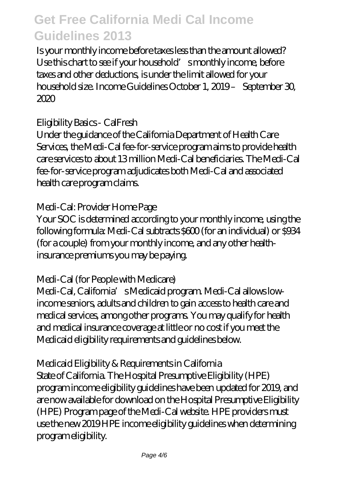Is your monthly income before taxes less than the amount allowed? Use this chart to see if your household's monthly income, before taxes and other deductions, is under the limit allowed for your household size. Income Guidelines October 1, 2019 – September 30, 2020

#### *Eligibility Basics - CalFresh*

Under the guidance of the California Department of Health Care Services, the Medi-Cal fee-for-service program aims to provide health care services to about 13 million Medi-Cal beneficiaries. The Medi-Cal fee-for-service program adjudicates both Medi-Cal and associated health care program claims.

## *Medi-Cal: Provider Home Page*

Your SOC is determined according to your monthly income, using the following formula: Medi-Cal subtracts \$600 (for an individual) or \$934 (for a couple) from your monthly income, and any other healthinsurance premiums you may be paying.

### *Medi-Cal (for People with Medicare)*

Medi-Cal, California's Medicaid program. Medi-Cal allows lowincome seniors, adults and children to gain access to health care and medical services, among other programs. You may qualify for health and medical insurance coverage at little or no cost if you meet the Medicaid eligibility requirements and guidelines below.

### *Medicaid Eligibility & Requirements in California*

State of California. The Hospital Presumptive Eligibility (HPE) program income eligibility guidelines have been updated for 2019, and are now available for download on the Hospital Presumptive Eligibility (HPE) Program page of the Medi-Cal website. HPE providers must use the new 2019 HPE income eligibility guidelines when determining program eligibility.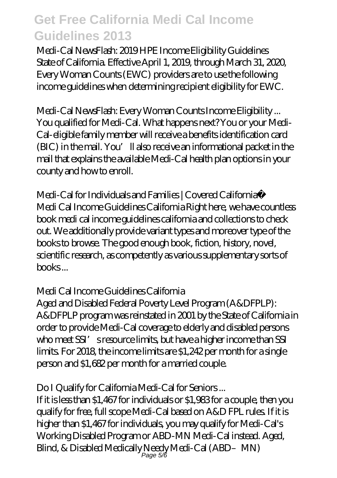*Medi-Cal NewsFlash: 2019 HPE Income Eligibility Guidelines* State of California. Effective April 1, 2019, through March 31, 2020, Every Woman Counts (EWC) providers are to use the following income guidelines when determining recipient eligibility for EWC.

*Medi-Cal NewsFlash: Every Woman Counts Income Eligibility ...* You qualified for Medi-Cal. What happens next? You or your Medi-Cal-eligible family member will receive a benefits identification card (BIC) in the mail. You'll also receive an informational packet in the mail that explains the available Medi-Cal health plan options in your county and how to enroll.

*Medi-Cal for Individuals and Families | Covered California™* Medi Cal Income Guidelines California Right here, we have countless book medi cal income guidelines california and collections to check out. We additionally provide variant types and moreover type of the books to browse. The good enough book, fiction, history, novel, scientific research, as competently as various supplementary sorts of books ...

#### *Medi Cal Income Guidelines California*

Aged and Disabled Federal Poverty Level Program (A&DFPLP): A&DFPLP program was reinstated in 2001 by the State of California in order to provide Medi-Cal coverage to elderly and disabled persons who meet SSI's resource limits, but have a higher income than SSI limits. For 2018, the income limits are \$1,242 per month for a single person and \$1,682 per month for a married couple.

#### *Do I Qualify for California Medi-Cal for Seniors ...*

If it is less than \$1,467 for individuals or \$1,983 for a couple, then you qualify for free, full scope Medi-Cal based on A&D FPL rules. If it is higher than \$1,467 for individuals, you may qualify for Medi-Cal's Working Disabled Program or ABD-MN Medi-Cal instead. Aged, Blind, & Disabled Medically Needy Medi-Cal (ABD–MN)<br>Page 5/6